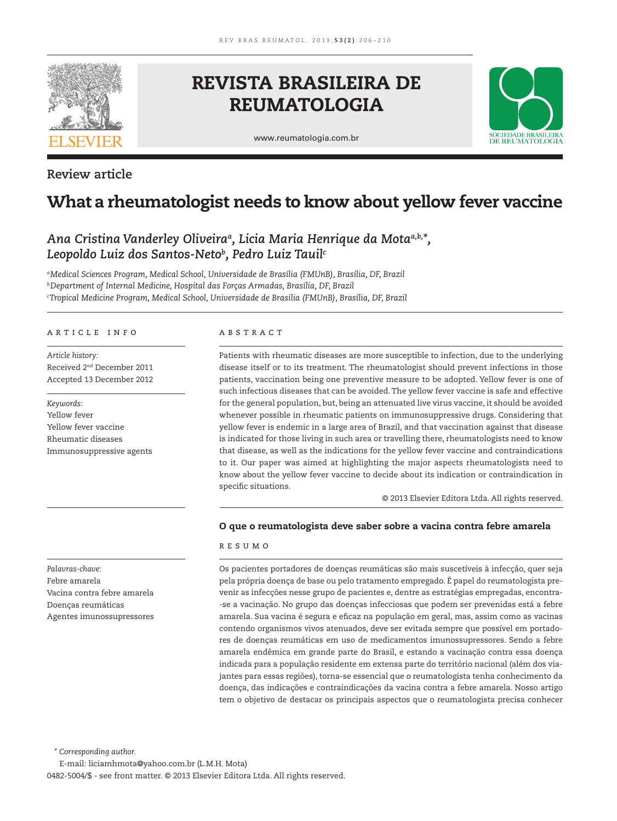

## **Review article**

# **REVISTA BRASILEIRA DE REUMATOLOGIA**

www.reumatologia.com.br



# **What a rheumatologist needs to know about yellow fever vaccine**

## Ana Cristina Vanderley Oliveira<sup>a</sup>, Licia Maria Henrique da Mota<sup>a,b,\*</sup>, *Leopoldo Luiz dos Santos-Netob , Pedro Luiz Tauilc*

*a Medical Sciences Program, Medical School, Universidade de Brasília (FMUnB), Brasília, DF, Brazil b Department of Internal Medicine, Hospital das Forças Armadas, Brasília, DF, Brazil c Tropical Medicine Program, Medical School, Universidade de Brasília (FMUnB), Brasília, DF, Brazil*

## article info

*Article history:* Received 2nd December 2011 Accepted 13 December 2012

*Keywords:* Yellow fever Yellow fever vaccine Rheumatic diseases Immunosuppressive agents

*Palavras-chave:* Febre amarela Vacina contra febre amarela Doenças reumáticas Agentes imunossupressores

## **ABSTRACT**

Patients with rheumatic diseases are more susceptible to infection, due to the underlying disease itself or to its treatment. The rheumatologist should prevent infections in those patients, vaccination being one preventive measure to be adopted. Yellow fever is one of such infectious diseases that can be avoided. The yellow fever vaccine is safe and effective for the general population, but, being an attenuated live virus vaccine, it should be avoided whenever possible in rheumatic patients on immunosuppressive drugs. Considering that yellow fever is endemic in a large area of Brazil, and that vaccination against that disease is indicated for those living in such area or travelling there, rheumatologists need to know that disease, as well as the indications for the yellow fever vaccine and contraindications to it. Our paper was aimed at highlighting the major aspects rheumatologists need to know about the yellow fever vaccine to decide about its indication or contraindication in specific situations.

© 2013 Elsevier Editora Ltda. All rights reserved.

## **O que o reumatologista deve saber sobre a vacina contra febre amarela**

## resumo

Os pacientes portadores de doenças reumáticas são mais suscetíveis à infecção, quer seja pela própria doença de base ou pelo tratamento empregado. É papel do reumatologista prevenir as infecções nesse grupo de pacientes e, dentre as estratégias empregadas, encontra- -se a vacinação. No grupo das doenças infecciosas que podem ser prevenidas está a febre amarela. Sua vacina é segura e eficaz na população em geral, mas, assim como as vacinas contendo organismos vivos atenuados, deve ser evitada sempre que possível em portadores de doenças reumáticas em uso de medicamentos imunossupressores. Sendo a febre amarela endêmica em grande parte do Brasil, e estando a vacinação contra essa doença indicada para a população residente em extensa parte do território nacional (além dos viajantes para essas regiões), torna-se essencial que o reumatologista tenha conhecimento da doença, das indicações e contraindicações da vacina contra a febre amarela. Nosso artigo tem o objetivo de destacar os principais aspectos que o reumatologista precisa conhecer

*\* Corresponding author.*

E-mail: liciamhmota@yahoo.com.br (L.M.H. Mota) 0482-5004/\$ - see front matter. © 2013 Elsevier Editora Ltda. All rights reserved.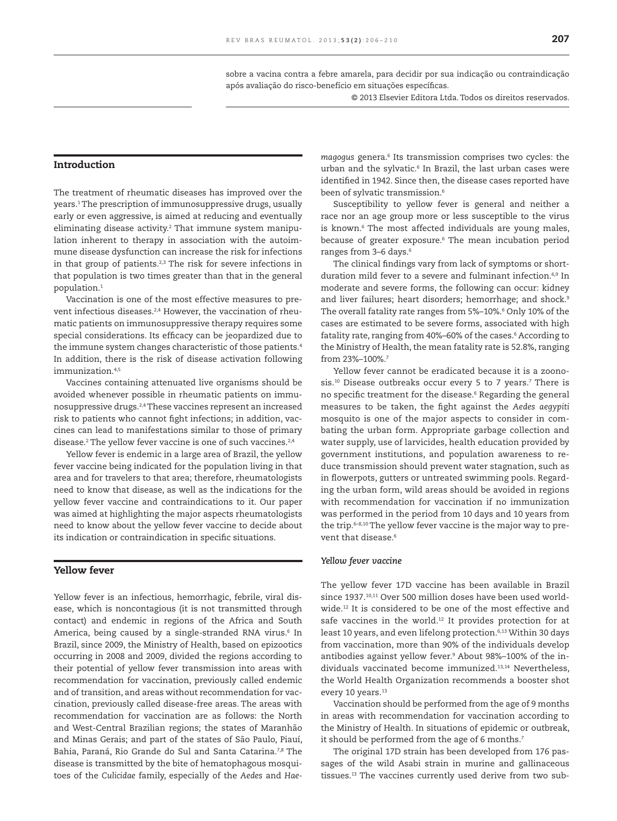sobre a vacina contra a febre amarela, para decidir por sua indicação ou contraindicação após avaliação do risco-benefício em situações específicas.

© 2013 Elsevier Editora Ltda. Todos os direitos reservados.

## **Introduction**

The treatment of rheumatic diseases has improved over the years.1 The prescription of immunosuppressive drugs, usually early or even aggressive, is aimed at reducing and eventually eliminating disease activity.2 That immune system manipulation inherent to therapy in association with the autoimmune disease dysfunction can increase the risk for infections in that group of patients.<sup>2,3</sup> The risk for severe infections in that population is two times greater than that in the general population.1

Vaccination is one of the most effective measures to prevent infectious diseases.<sup>2,4</sup> However, the vaccination of rheumatic patients on immunosuppressive therapy requires some special considerations. Its efficacy can be jeopardized due to the immune system changes characteristic of those patients.<sup>4</sup> In addition, there is the risk of disease activation following immunization  $4,5$ 

Vaccines containing attenuated live organisms should be avoided whenever possible in rheumatic patients on immunosuppressive drugs.2,4 These vaccines represent an increased risk to patients who cannot fight infections; in addition, vaccines can lead to manifestations similar to those of primary disease.2 The yellow fever vaccine is one of such vaccines.2,4

Yellow fever is endemic in a large area of Brazil, the yellow fever vaccine being indicated for the population living in that area and for travelers to that area; therefore, rheumatologists need to know that disease, as well as the indications for the yellow fever vaccine and contraindications to it. Our paper was aimed at highlighting the major aspects rheumatologists need to know about the yellow fever vaccine to decide about its indication or contraindication in specific situations.

## **Yellow fever**

Yellow fever is an infectious, hemorrhagic, febrile, viral disease, which is noncontagious (it is not transmitted through contact) and endemic in regions of the Africa and South America, being caused by a single-stranded RNA virus.<sup>6</sup> In Brazil, since 2009, the Ministry of Health, based on epizootics occurring in 2008 and 2009, divided the regions according to their potential of yellow fever transmission into areas with recommendation for vaccination, previously called endemic and of transition, and areas without recommendation for vaccination, previously called disease-free areas. The areas with recommendation for vaccination are as follows: the North and West-Central Brazilian regions; the states of Maranhão and Minas Gerais; and part of the states of São Paulo, Piauí, Bahia, Paraná, Rio Grande do Sul and Santa Catarina.7,8 The disease is transmitted by the bite of hematophagous mosquitoes of the *Culicidae* family, especially of the *Aedes* and *Hae-* *magogus* genera.6 Its transmission comprises two cycles: the urban and the sylvatic.6 In Brazil, the last urban cases were identified in 1942. Since then, the disease cases reported have been of sylvatic transmission.<sup>6</sup>

Susceptibility to yellow fever is general and neither a race nor an age group more or less susceptible to the virus is known.6 The most affected individuals are young males, because of greater exposure.6 The mean incubation period ranges from 3-6 days.<sup>6</sup>

The clinical findings vary from lack of symptoms or shortduration mild fever to a severe and fulminant infection.<sup>6,9</sup> In moderate and severe forms, the following can occur: kidney and liver failures; heart disorders; hemorrhage; and shock.<sup>9</sup> The overall fatality rate ranges from 5%–10%.6 Only 10% of the cases are estimated to be severe forms, associated with high fatality rate, ranging from 40%–60% of the cases.6 According to the Ministry of Health, the mean fatality rate is 52.8%, ranging from 23%–100%.7

Yellow fever cannot be eradicated because it is a zoonosis.10 Disease outbreaks occur every 5 to 7 years.7 There is no specific treatment for the disease.<sup>6</sup> Regarding the general measures to be taken, the fight against the Aedes aegypiti mosquito is one of the major aspects to consider in combating the urban form. Appropriate garbage collection and water supply, use of larvicides, health education provided by government institutions, and population awareness to reduce transmission should prevent water stagnation, such as in flowerpots, gutters or untreated swimming pools. Regarding the urban form, wild areas should be avoided in regions with recommendation for vaccination if no immunization was performed in the period from 10 days and 10 years from the trip.6–8,10 The yellow fever vaccine is the major way to prevent that disease.<sup>6</sup>

#### *Yellow fever vaccine*

The yellow fever 17D vaccine has been available in Brazil since 1937.<sup>10,11</sup> Over 500 million doses have been used worldwide.12 It is considered to be one of the most effective and safe vaccines in the world.<sup>12</sup> It provides protection for at least 10 years, and even lifelong protection.<sup>6,13</sup> Within 30 days from vaccination, more than 90% of the individuals develop antibodies against yellow fever.9 About 98%–100% of the individuals vaccinated become immunized.13,14 Nevertheless, the World Health Organization recommends a booster shot every 10 years.<sup>13</sup>

Vaccination should be performed from the age of 9 months in areas with recommendation for vaccination according to the Ministry of Health. In situations of epidemic or outbreak, it should be performed from the age of 6 months.<sup>7</sup>

The original 17D strain has been developed from 176 passages of the wild Asabi strain in murine and gallinaceous tissues.13 The vaccines currently used derive from two sub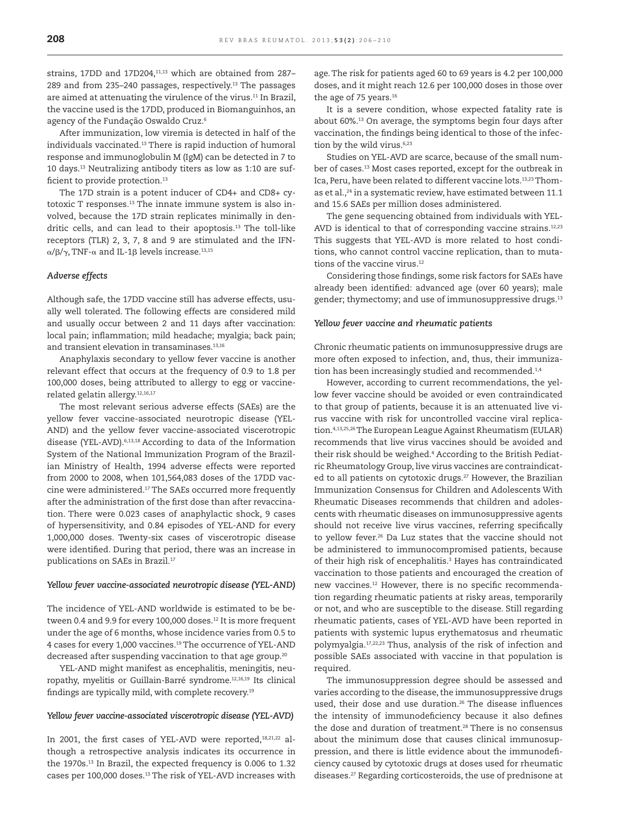strains, 17DD and 17D204, $11,13$  which are obtained from 287-289 and from 235–240 passages, respectively.13 The passages are aimed at attenuating the virulence of the virus.11 In Brazil, the vaccine used is the 17DD, produced in Biomanguinhos, an agency of the Fundação Oswaldo Cruz.6

After immunization, low viremia is detected in half of the individuals vaccinated.13 There is rapid induction of humoral response and immunoglobulin M (IgM) can be detected in 7 to 10 days.13 Neutralizing antibody titers as low as 1:10 are sufficient to provide protection.<sup>13</sup>

The 17D strain is a potent inducer of CD4+ and CD8+ cytotoxic T responses.13 The innate immune system is also involved, because the 17D strain replicates minimally in dendritic cells, and can lead to their apoptosis.<sup>13</sup> The toll-like receptors (TLR) 2, 3, 7, 8 and 9 are stimulated and the IFNα/β/γ, TNF-α and IL-1β levels increase.<sup>13,15</sup>

#### *Adverse effects*

Although safe, the 17DD vaccine still has adverse effects, usually well tolerated. The following effects are considered mild and usually occur between 2 and 11 days after vaccination: local pain; inflammation; mild headache; myalgia; back pain; and transient elevation in transaminases.<sup>13,16</sup>

Anaphylaxis secondary to yellow fever vaccine is another relevant effect that occurs at the frequency of 0.9 to 1.8 per 100,000 doses, being attributed to allergy to egg or vaccinerelated gelatin allergy.12,16,17

The most relevant serious adverse effects (SAEs) are the yellow fever vaccine-associated neurotropic disease (YEL-AND) and the yellow fever vaccine-associated viscerotropic disease (YEL-AVD).<sup>6,13,18</sup> According to data of the Information System of the National Immunization Program of the Brazilian Ministry of Health, 1994 adverse effects were reported from 2000 to 2008, when 101,564,083 doses of the 17DD vaccine were administered.17 The SAEs occurred more frequently after the administration of the first dose than after revaccination. There were 0.023 cases of anaphylactic shock, 9 cases of hypersensitivity, and 0.84 episodes of YEL-AND for every 1,000,000 doses. Twenty-six cases of viscerotropic disease were identified. During that period, there was an increase in publications on SAEs in Brazil.17

#### *Yellow fever vaccine-associated neurotropic disease (YEL-AND)*

The incidence of YEL-AND worldwide is estimated to be between 0.4 and 9.9 for every 100,000 doses.<sup>12</sup> It is more frequent under the age of 6 months, whose incidence varies from 0.5 to 4 cases for every 1,000 vaccines.19 The occurrence of YEL-AND decreased after suspending vaccination to that age group.<sup>20</sup>

YEL-AND might manifest as encephalitis, meningitis, neuropathy, myelitis or Guillain-Barré syndrome.12,16,19 Its clinical findings are typically mild, with complete recovery.<sup>19</sup>

## *Yellow fever vaccine-associated viscerotropic disease (YEL-AVD)*

In 2001, the first cases of YEL-AVD were reported,<sup>18,21,22</sup> although a retrospective analysis indicates its occurrence in the 1970s.13 In Brazil, the expected frequency is 0.006 to 1.32 cases per 100,000 doses.<sup>13</sup> The risk of YEL-AVD increases with

age. The risk for patients aged 60 to 69 years is 4.2 per 100,000 doses, and it might reach 12.6 per 100,000 doses in those over the age of 75 years.<sup>16</sup>

It is a severe condition, whose expected fatality rate is about 60%.13 On average, the symptoms begin four days after vaccination, the findings being identical to those of the infection by the wild virus.<sup>6,23</sup>

Studies on YEL-AVD are scarce, because of the small number of cases.<sup>13</sup> Most cases reported, except for the outbreak in Ica, Peru, have been related to different vaccine lots.<sup>13,23</sup> Thomas et al.,<sup>24</sup> in a systematic review, have estimated between 11.1 and 15.6 SAEs per million doses administered.

The gene sequencing obtained from individuals with YEL-AVD is identical to that of corresponding vaccine strains.<sup>12,23</sup> This suggests that YEL-AVD is more related to host conditions, who cannot control vaccine replication, than to mutations of the vaccine virus.<sup>12</sup>

Considering those findings, some risk factors for SAEs have already been identified: advanced age (over 60 years); male gender; thymectomy; and use of immunosuppressive drugs.<sup>13</sup>

#### *Yellow fever vaccine and rheumatic patients*

Chronic rheumatic patients on immunosuppressive drugs are more often exposed to infection, and, thus, their immunization has been increasingly studied and recommended.<sup>1,4</sup>

However, according to current recommendations, the yellow fever vaccine should be avoided or even contraindicated to that group of patients, because it is an attenuated live virus vaccine with risk for uncontrolled vaccine viral replication.4,13,25,26 The European League Against Rheumatism (EULAR) recommends that live virus vaccines should be avoided and their risk should be weighed.4 According to the British Pediatric Rheumatology Group, live virus vaccines are contraindicated to all patients on cytotoxic drugs.<sup>27</sup> However, the Brazilian Immunization Consensus for Children and Adolescents With Rheumatic Diseases recommends that children and adolescents with rheumatic diseases on immunosuppressive agents should not receive live virus vaccines, referring specifically to yellow fever.<sup>26</sup> Da Luz states that the vaccine should not be administered to immunocompromised patients, because of their high risk of encephalitis.3 Hayes has contraindicated vaccination to those patients and encouraged the creation of new vaccines.<sup>12</sup> However, there is no specific recommendation regarding rheumatic patients at risky areas, temporarily or not, and who are susceptible to the disease. Still regarding rheumatic patients, cases of YEL-AVD have been reported in patients with systemic lupus erythematosus and rheumatic polymyalgia.17,22,23 Thus, analysis of the risk of infection and possible SAEs associated with vaccine in that population is required.

The immunosuppression degree should be assessed and varies according to the disease, the immunosuppressive drugs used, their dose and use duration.<sup>26</sup> The disease influences the intensity of immunodeficiency because it also defines the dose and duration of treatment.<sup>28</sup> There is no consensus about the minimum dose that causes clinical immunosuppression, and there is little evidence about the immunodeficiency caused by cytotoxic drugs at doses used for rheumatic diseases.27 Regarding corticosteroids, the use of prednisone at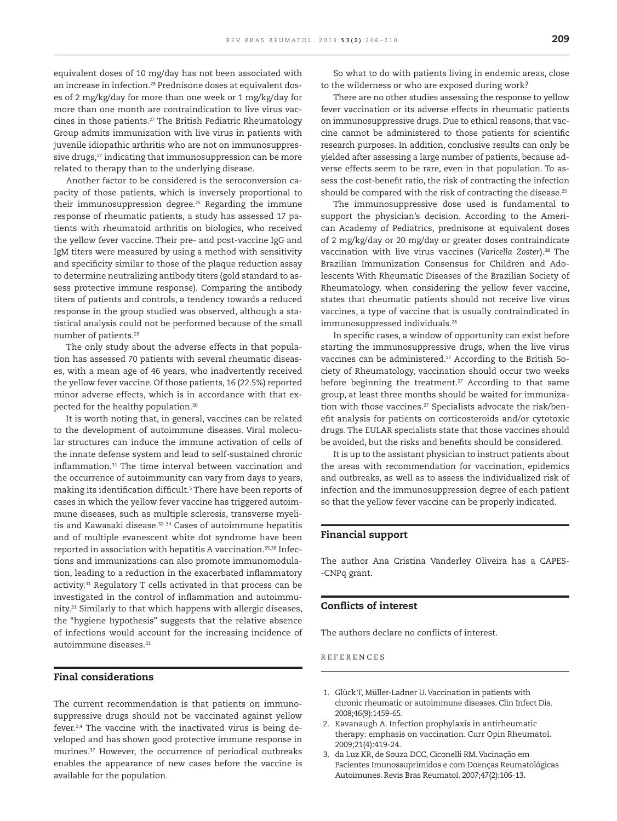equivalent doses of 10 mg/day has not been associated with an increase in infection.28 Prednisone doses at equivalent doses of 2 mg/kg/day for more than one week or 1 mg/kg/day for more than one month are contraindication to live virus vaccines in those patients.<sup>27</sup> The British Pediatric Rheumatology Group admits immunization with live virus in patients with juvenile idiopathic arthritis who are not on immunosuppressive drugs,<sup>27</sup> indicating that immunosuppression can be more related to therapy than to the underlying disease.

Another factor to be considered is the seroconversion capacity of those patients, which is inversely proportional to their immunosuppression degree.<sup>25</sup> Regarding the immune response of rheumatic patients, a study has assessed 17 patients with rheumatoid arthritis on biologics, who received the yellow fever vaccine. Their pre- and post-vaccine IgG and IgM titers were measured by using a method with sensitivity and specificity similar to those of the plaque reduction assay to determine neutralizing antibody titers (gold standard to assess protective immune response). Comparing the antibody titers of patients and controls, a tendency towards a reduced response in the group studied was observed, although a statistical analysis could not be performed because of the small number of patients.29

The only study about the adverse effects in that population has assessed 70 patients with several rheumatic diseases, with a mean age of 46 years, who inadvertently received the yellow fever vaccine. Of those patients, 16 (22.5%) reported minor adverse effects, which is in accordance with that expected for the healthy population.30

It is worth noting that, in general, vaccines can be related to the development of autoimmune diseases. Viral molecular structures can induce the immune activation of cells of the innate defense system and lead to self-sustained chronic inflammation.<sup>31</sup> The time interval between vaccination and the occurrence of autoimmunity can vary from days to years, making its identification difficult.<sup>5</sup> There have been reports of cases in which the yellow fever vaccine has triggered autoimmune diseases, such as multiple sclerosis, transverse myelitis and Kawasaki disease.<sup>32-34</sup> Cases of autoimmune hepatitis and of multiple evanescent white dot syndrome have been reported in association with hepatitis A vaccination.<sup>35,36</sup> Infections and immunizations can also promote immunomodulation, leading to a reduction in the exacerbated inflammatory activity.31 Regulatory T cells activated in that process can be investigated in the control of inflammation and autoimmunity.31 Similarly to that which happens with allergic diseases, the "hygiene hypothesis" suggests that the relative absence of infections would account for the increasing incidence of autoimmune diseases.31

## **Final considerations**

The current recommendation is that patients on immunosuppressive drugs should not be vaccinated against yellow fever.<sup>2,4</sup> The vaccine with the inactivated virus is being developed and has shown good protective immune response in murines.37 However, the occurrence of periodical outbreaks enables the appearance of new cases before the vaccine is available for the population.

So what to do with patients living in endemic areas, close to the wilderness or who are exposed during work?

There are no other studies assessing the response to yellow fever vaccination or its adverse effects in rheumatic patients on immunosuppressive drugs. Due to ethical reasons, that vaccine cannot be administered to those patients for scientific research purposes. In addition, conclusive results can only be yielded after assessing a large number of patients, because adverse effects seem to be rare, even in that population. To assess the cost-benefit ratio, the risk of contracting the infection should be compared with the risk of contracting the disease.<sup>25</sup>

The immunosuppressive dose used is fundamental to support the physician's decision. According to the American Academy of Pediatrics, prednisone at equivalent doses of 2 mg/kg/day or 20 mg/day or greater doses contraindicate vaccination with live virus vaccines (*Varicella Zoster*).38 The Brazilian Immunization Consensus for Children and Adolescents With Rheumatic Diseases of the Brazilian Society of Rheumatology, when considering the yellow fever vaccine, states that rheumatic patients should not receive live virus vaccines, a type of vaccine that is usually contraindicated in immunosuppressed individuals.<sup>26</sup>

In specific cases, a window of opportunity can exist before starting the immunosuppressive drugs, when the live virus vaccines can be administered.<sup>27</sup> According to the British Society of Rheumatology, vaccination should occur two weeks before beginning the treatment.<sup>27</sup> According to that same group, at least three months should be waited for immunization with those vaccines.<sup>27</sup> Specialists advocate the risk/benefit analysis for patients on corticosteroids and/or cytotoxic drugs. The EULAR specialists state that those vaccines should be avoided, but the risks and benefits should be considered.

It is up to the assistant physician to instruct patients about the areas with recommendation for vaccination, epidemics and outbreaks, as well as to assess the individualized risk of infection and the immunosuppression degree of each patient so that the yellow fever vaccine can be properly indicated.

## **Financial support**

The author Ana Cristina Vanderley Oliveira has a CAPES- -CNPq grant.

## **Confl icts of interest**

The authors declare no conflicts of interest.

R E F E R E N C E S

- 1. Glück T, Müller-Ladner U. Vaccination in patients with chronic rheumatic or autoimmune diseases. Clin Infect Dis. 2008;46(9):1459-65.
- 2. Kavanaugh A. Infection prophylaxis in antirheumatic therapy: emphasis on vaccination. Curr Opin Rheumatol. 2009;21(4):419-24.
- 3. da Luz KR, de Souza DCC, Ciconelli RM. Vacinação em Pacientes Imunossuprimidos e com Doenças Reumatológicas Autoimunes. Revis Bras Reumatol. 2007;47(2):106-13.